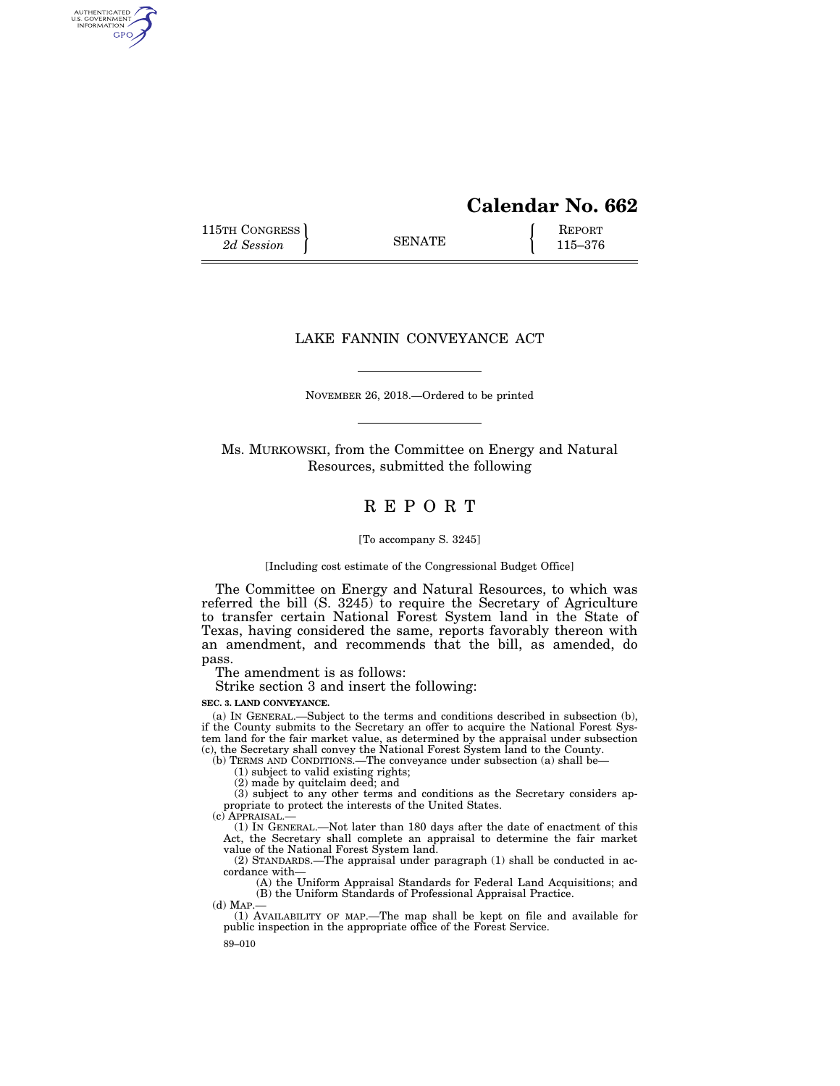# **Calendar No. 662**

115TH CONGRESS **REPORT** 2d Session **115–376** 

AUTHENTICATED<br>U.S. GOVERNMENT<br>INFORMATION GPO

## LAKE FANNIN CONVEYANCE ACT

NOVEMBER 26, 2018.—Ordered to be printed

Ms. MURKOWSKI, from the Committee on Energy and Natural Resources, submitted the following

## R E P O R T

[To accompany S. 3245]

[Including cost estimate of the Congressional Budget Office]

The Committee on Energy and Natural Resources, to which was referred the bill (S. 3245) to require the Secretary of Agriculture to transfer certain National Forest System land in the State of Texas, having considered the same, reports favorably thereon with an amendment, and recommends that the bill, as amended, do pass.

The amendment is as follows:

Strike section 3 and insert the following:

**SEC. 3. LAND CONVEYANCE.** 

(a) IN GENERAL.—Subject to the terms and conditions described in subsection (b), if the County submits to the Secretary an offer to acquire the National Forest System land for the fair market value, as determined by the appraisal under subsection (c), the Secretary shall convey the National Forest System land to the County.

(b) TERMS AND CONDITIONS.—The conveyance under subsection (a) shall be—

(1) subject to valid existing rights;

(2) made by quitclaim deed; and

(3) subject to any other terms and conditions as the Secretary considers appropriate to protect the interests of the United States.

(c) APPRAISAL.—

(1) IN GENERAL.—Not later than 180 days after the date of enactment of this Act, the Secretary shall complete an appraisal to determine the fair market value of the National Forest System land.

(2) STANDARDS.—The appraisal under paragraph (1) shall be conducted in accordance with—

(A) the Uniform Appraisal Standards for Federal Land Acquisitions; and (B) the Uniform Standards of Professional Appraisal Practice.

(d) MAP.—

(1) AVAILABILITY OF MAP.—The map shall be kept on file and available for public inspection in the appropriate office of the Forest Service.

89–010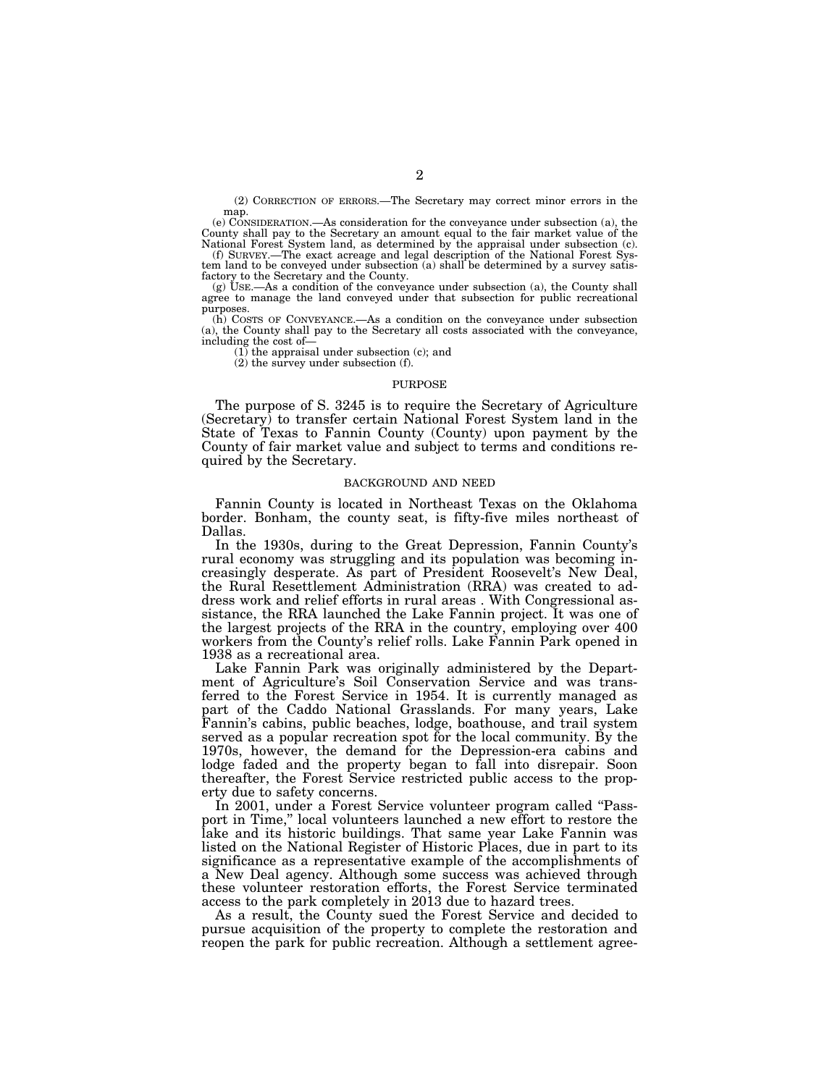(2) CORRECTION OF ERRORS.—The Secretary may correct minor errors in the map.

(e) CONSIDERATION.—As consideration for the conveyance under subsection (a), the County shall pay to the Secretary an amount equal to the fair market value of the National Forest System land, as determined by the appraisal under subsection (c).

(f) SURVEY.—The exact acreage and legal description of the National Forest System land to be conveyed under subsection (a) shall be determined by a survey satisfactory to the Secretary and the County.

(g) USE.—As a condition of the conveyance under subsection (a), the County shall agree to manage the land conveyed under that subsection for public recreational purposes.

(h) COSTS OF CONVEYANCE.—As a condition on the conveyance under subsection (a), the County shall pay to the Secretary all costs associated with the conveyance, including the cost of—

(1) the appraisal under subsection (c); and

(2) the survey under subsection (f).

## PURPOSE

The purpose of S. 3245 is to require the Secretary of Agriculture (Secretary) to transfer certain National Forest System land in the State of Texas to Fannin County (County) upon payment by the County of fair market value and subject to terms and conditions required by the Secretary.

## BACKGROUND AND NEED

Fannin County is located in Northeast Texas on the Oklahoma border. Bonham, the county seat, is fifty-five miles northeast of Dallas.

In the 1930s, during to the Great Depression, Fannin County's rural economy was struggling and its population was becoming increasingly desperate. As part of President Roosevelt's New Deal, the Rural Resettlement Administration (RRA) was created to address work and relief efforts in rural areas . With Congressional assistance, the RRA launched the Lake Fannin project. It was one of the largest projects of the RRA in the country, employing over 400 workers from the County's relief rolls. Lake Fannin Park opened in 1938 as a recreational area.

Lake Fannin Park was originally administered by the Department of Agriculture's Soil Conservation Service and was transferred to the Forest Service in 1954. It is currently managed as part of the Caddo National Grasslands. For many years, Lake Fannin's cabins, public beaches, lodge, boathouse, and trail system served as a popular recreation spot for the local community. By the 1970s, however, the demand for the Depression-era cabins and lodge faded and the property began to fall into disrepair. Soon thereafter, the Forest Service restricted public access to the property due to safety concerns.

In 2001, under a Forest Service volunteer program called ''Passport in Time," local volunteers launched a new effort to restore the lake and its historic buildings. That same year Lake Fannin was listed on the National Register of Historic Places, due in part to its significance as a representative example of the accomplishments of a New Deal agency. Although some success was achieved through these volunteer restoration efforts, the Forest Service terminated access to the park completely in 2013 due to hazard trees.

As a result, the County sued the Forest Service and decided to pursue acquisition of the property to complete the restoration and reopen the park for public recreation. Although a settlement agree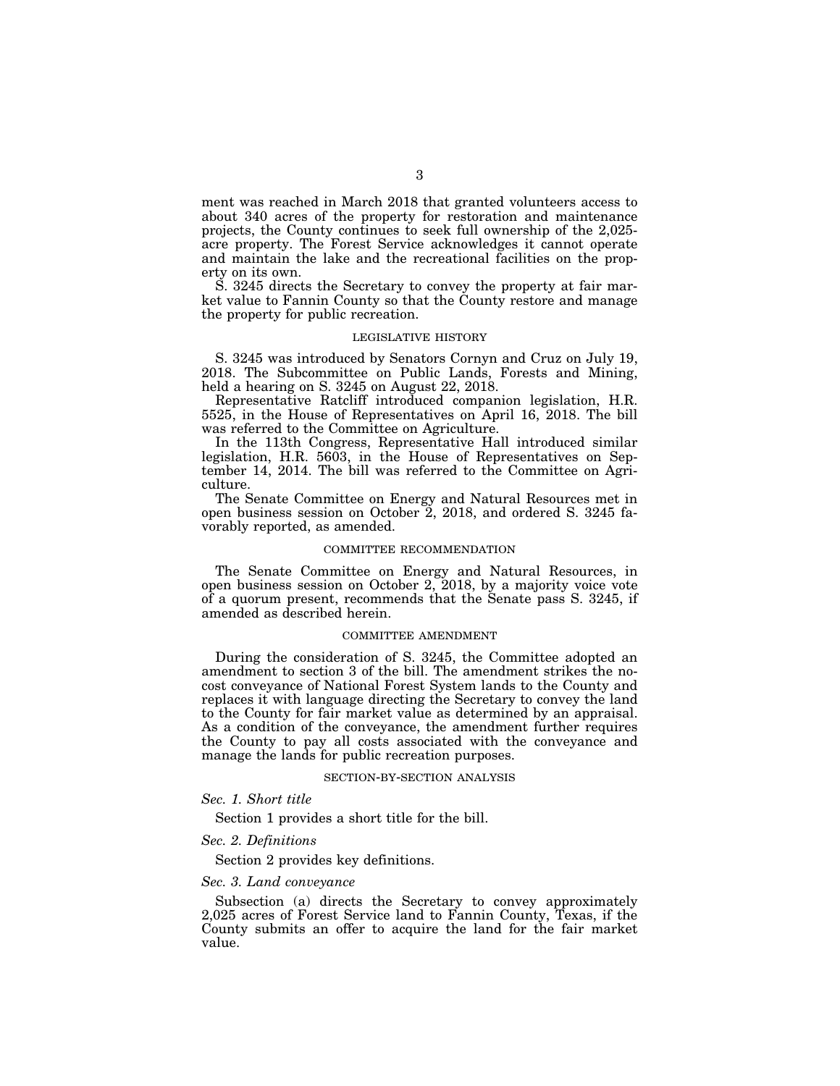ment was reached in March 2018 that granted volunteers access to about 340 acres of the property for restoration and maintenance projects, the County continues to seek full ownership of the 2,025 acre property. The Forest Service acknowledges it cannot operate and maintain the lake and the recreational facilities on the property on its own.

S. 3245 directs the Secretary to convey the property at fair market value to Fannin County so that the County restore and manage the property for public recreation.

## LEGISLATIVE HISTORY

S. 3245 was introduced by Senators Cornyn and Cruz on July 19, 2018. The Subcommittee on Public Lands, Forests and Mining, held a hearing on S. 3245 on August 22, 2018.

Representative Ratcliff introduced companion legislation, H.R. 5525, in the House of Representatives on April 16, 2018. The bill was referred to the Committee on Agriculture.

In the 113th Congress, Representative Hall introduced similar legislation, H.R. 5603, in the House of Representatives on September 14, 2014. The bill was referred to the Committee on Agriculture.

The Senate Committee on Energy and Natural Resources met in open business session on October  $\tilde{2}$ , 2018, and ordered S. 3245 favorably reported, as amended.

### COMMITTEE RECOMMENDATION

The Senate Committee on Energy and Natural Resources, in open business session on October 2, 2018, by a majority voice vote of a quorum present, recommends that the Senate pass S. 3245, if amended as described herein.

#### COMMITTEE AMENDMENT

During the consideration of S. 3245, the Committee adopted an amendment to section 3 of the bill. The amendment strikes the nocost conveyance of National Forest System lands to the County and replaces it with language directing the Secretary to convey the land to the County for fair market value as determined by an appraisal. As a condition of the conveyance, the amendment further requires the County to pay all costs associated with the conveyance and manage the lands for public recreation purposes.

#### SECTION-BY-SECTION ANALYSIS

*Sec. 1. Short title* 

Section 1 provides a short title for the bill.

## *Sec. 2. Definitions*

Section 2 provides key definitions.

## *Sec. 3. Land conveyance*

Subsection (a) directs the Secretary to convey approximately 2,025 acres of Forest Service land to Fannin County, Texas, if the County submits an offer to acquire the land for the fair market value.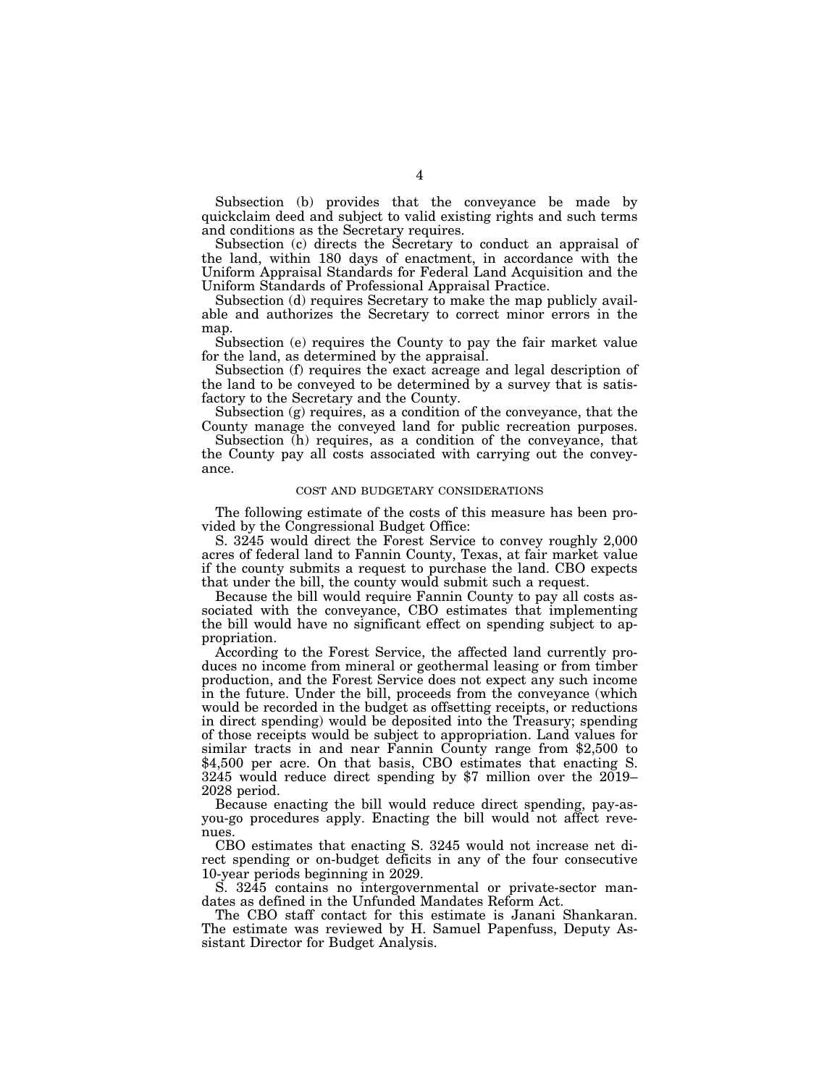Subsection (b) provides that the conveyance be made by quickclaim deed and subject to valid existing rights and such terms and conditions as the Secretary requires.

Subsection (c) directs the Secretary to conduct an appraisal of the land, within 180 days of enactment, in accordance with the Uniform Appraisal Standards for Federal Land Acquisition and the Uniform Standards of Professional Appraisal Practice.

Subsection (d) requires Secretary to make the map publicly available and authorizes the Secretary to correct minor errors in the map.

Subsection (e) requires the County to pay the fair market value for the land, as determined by the appraisal.

Subsection (f) requires the exact acreage and legal description of the land to be conveyed to be determined by a survey that is satisfactory to the Secretary and the County.

Subsection (g) requires, as a condition of the conveyance, that the County manage the conveyed land for public recreation purposes.

Subsection (h) requires, as a condition of the conveyance, that the County pay all costs associated with carrying out the conveyance.

## COST AND BUDGETARY CONSIDERATIONS

The following estimate of the costs of this measure has been provided by the Congressional Budget Office:

S. 3245 would direct the Forest Service to convey roughly 2,000 acres of federal land to Fannin County, Texas, at fair market value if the county submits a request to purchase the land. CBO expects that under the bill, the county would submit such a request.

Because the bill would require Fannin County to pay all costs associated with the conveyance, CBO estimates that implementing the bill would have no significant effect on spending subject to appropriation.

According to the Forest Service, the affected land currently produces no income from mineral or geothermal leasing or from timber production, and the Forest Service does not expect any such income in the future. Under the bill, proceeds from the conveyance (which would be recorded in the budget as offsetting receipts, or reductions in direct spending) would be deposited into the Treasury; spending of those receipts would be subject to appropriation. Land values for similar tracts in and near Fannin County range from \$2,500 to \$4,500 per acre. On that basis, CBO estimates that enacting S. 3245 would reduce direct spending by \$7 million over the 2019– 2028 period.

Because enacting the bill would reduce direct spending, pay-asyou-go procedures apply. Enacting the bill would not affect revenues.

CBO estimates that enacting S. 3245 would not increase net direct spending or on-budget deficits in any of the four consecutive 10-year periods beginning in 2029.

S. 3245 contains no intergovernmental or private-sector mandates as defined in the Unfunded Mandates Reform Act.

The CBO staff contact for this estimate is Janani Shankaran. The estimate was reviewed by H. Samuel Papenfuss, Deputy Assistant Director for Budget Analysis.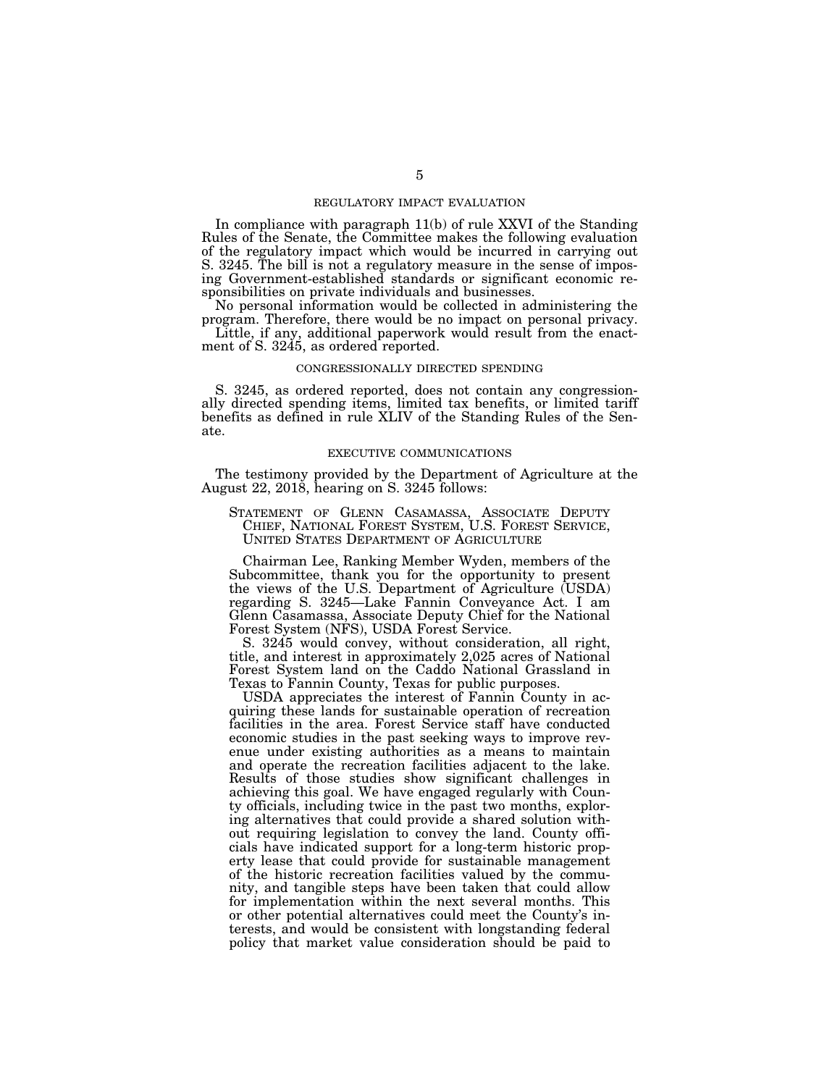## REGULATORY IMPACT EVALUATION

In compliance with paragraph 11(b) of rule XXVI of the Standing Rules of the Senate, the Committee makes the following evaluation of the regulatory impact which would be incurred in carrying out S. 3245. The bill is not a regulatory measure in the sense of imposing Government-established standards or significant economic responsibilities on private individuals and businesses.

No personal information would be collected in administering the program. Therefore, there would be no impact on personal privacy.

Little, if any, additional paperwork would result from the enactment of S. 3245, as ordered reported.

## CONGRESSIONALLY DIRECTED SPENDING

S. 3245, as ordered reported, does not contain any congressionally directed spending items, limited tax benefits, or limited tariff benefits as defined in rule XLIV of the Standing Rules of the Senate.

## EXECUTIVE COMMUNICATIONS

The testimony provided by the Department of Agriculture at the August 22, 2018, hearing on S. 3245 follows:

STATEMENT OF GLENN CASAMASSA, ASSOCIATE DEPUTY CHIEF, NATIONAL FOREST SYSTEM, U.S. FOREST SERVICE, UNITED STATES DEPARTMENT OF AGRICULTURE

Chairman Lee, Ranking Member Wyden, members of the Subcommittee, thank you for the opportunity to present the views of the U.S. Department of Agriculture (USDA) regarding S. 3245—Lake Fannin Conveyance Act. I am Glenn Casamassa, Associate Deputy Chief for the National Forest System (NFS), USDA Forest Service.

S. 3245 would convey, without consideration, all right, title, and interest in approximately 2,025 acres of National Forest System land on the Caddo National Grassland in Texas to Fannin County, Texas for public purposes.

USDA appreciates the interest of Fannin County in acquiring these lands for sustainable operation of recreation facilities in the area. Forest Service staff have conducted economic studies in the past seeking ways to improve revenue under existing authorities as a means to maintain and operate the recreation facilities adjacent to the lake. Results of those studies show significant challenges in achieving this goal. We have engaged regularly with County officials, including twice in the past two months, exploring alternatives that could provide a shared solution without requiring legislation to convey the land. County officials have indicated support for a long-term historic property lease that could provide for sustainable management of the historic recreation facilities valued by the community, and tangible steps have been taken that could allow for implementation within the next several months. This or other potential alternatives could meet the County's interests, and would be consistent with longstanding federal policy that market value consideration should be paid to